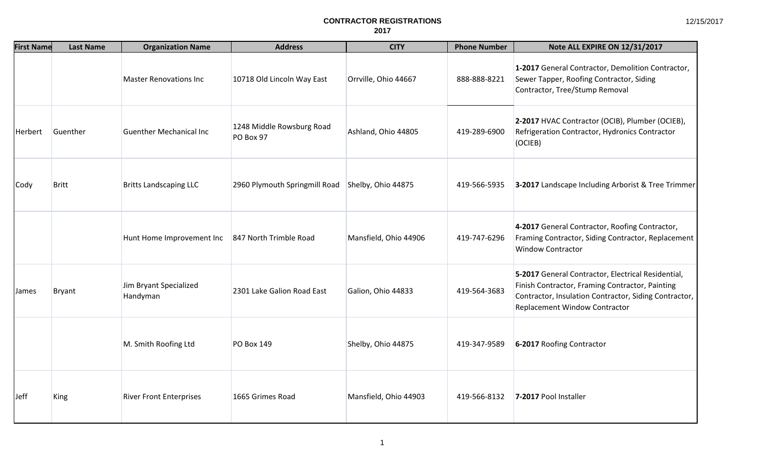| <b>First Name</b> | <b>Last Name</b> | <b>Organization Name</b>           | <b>Address</b>                         | <b>CITY</b>           | <b>Phone Number</b> | Note ALL EXPIRE ON 12/31/2017                                                                                                                                                                   |
|-------------------|------------------|------------------------------------|----------------------------------------|-----------------------|---------------------|-------------------------------------------------------------------------------------------------------------------------------------------------------------------------------------------------|
|                   |                  | <b>Master Renovations Inc</b>      | 10718 Old Lincoln Way East             | Orrville, Ohio 44667  | 888-888-8221        | 1-2017 General Contractor, Demolition Contractor,<br>Sewer Tapper, Roofing Contractor, Siding<br>Contractor, Tree/Stump Removal                                                                 |
| Herbert           | Guenther         | <b>Guenther Mechanical Inc</b>     | 1248 Middle Rowsburg Road<br>PO Box 97 | Ashland, Ohio 44805   | 419-289-6900        | 2-2017 HVAC Contractor (OCIB), Plumber (OCIEB),<br>Refrigeration Contractor, Hydronics Contractor<br>(OCIEB)                                                                                    |
| <b>Cody</b>       | <b>Britt</b>     | <b>Britts Landscaping LLC</b>      | 2960 Plymouth Springmill Road          | Shelby, Ohio 44875    | 419-566-5935        | 3-2017 Landscape Including Arborist & Tree Trimmer                                                                                                                                              |
|                   |                  | Hunt Home Improvement Inc          | 847 North Trimble Road                 | Mansfield, Ohio 44906 | 419-747-6296        | 4-2017 General Contractor, Roofing Contractor,<br>Framing Contractor, Siding Contractor, Replacement<br><b>Window Contractor</b>                                                                |
| James             | Bryant           | Jim Bryant Specialized<br>Handyman | 2301 Lake Galion Road East             | Galion, Ohio 44833    | 419-564-3683        | 5-2017 General Contractor, Electrical Residential,<br>Finish Contractor, Framing Contractor, Painting<br>Contractor, Insulation Contractor, Siding Contractor,<br>Replacement Window Contractor |
|                   |                  | M. Smith Roofing Ltd               | PO Box 149                             | Shelby, Ohio 44875    | 419-347-9589        | 6-2017 Roofing Contractor                                                                                                                                                                       |
| <b>Jeff</b>       | King             | <b>River Front Enterprises</b>     | 1665 Grimes Road                       | Mansfield, Ohio 44903 | 419-566-8132        | 7-2017 Pool Installer                                                                                                                                                                           |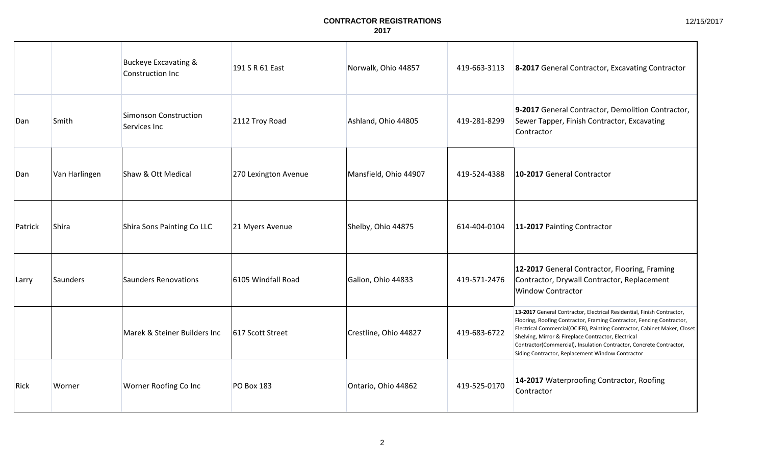|         |               | <b>Buckeye Excavating &amp;</b><br>Construction Inc | 191 S R 61 East      | Norwalk, Ohio 44857   | 419-663-3113 | 8-2017 General Contractor, Excavating Contractor                                                                                                                                                                                                                                                                                                                                                              |
|---------|---------------|-----------------------------------------------------|----------------------|-----------------------|--------------|---------------------------------------------------------------------------------------------------------------------------------------------------------------------------------------------------------------------------------------------------------------------------------------------------------------------------------------------------------------------------------------------------------------|
| Dan     | Smith         | <b>Simonson Construction</b><br>Services Inc        | 2112 Troy Road       | Ashland, Ohio 44805   | 419-281-8299 | 9-2017 General Contractor, Demolition Contractor,<br>Sewer Tapper, Finish Contractor, Excavating<br>Contractor                                                                                                                                                                                                                                                                                                |
| Dan     | Van Harlingen | Shaw & Ott Medical                                  | 270 Lexington Avenue | Mansfield, Ohio 44907 | 419-524-4388 | 10-2017 General Contractor                                                                                                                                                                                                                                                                                                                                                                                    |
| Patrick | Shira         | Shira Sons Painting Co LLC                          | 21 Myers Avenue      | Shelby, Ohio 44875    | 614-404-0104 | 11-2017 Painting Contractor                                                                                                                                                                                                                                                                                                                                                                                   |
| Larry   | Saunders      | <b>Saunders Renovations</b>                         | 6105 Windfall Road   | Galion, Ohio 44833    | 419-571-2476 | 12-2017 General Contractor, Flooring, Framing<br>Contractor, Drywall Contractor, Replacement<br><b>Window Contractor</b>                                                                                                                                                                                                                                                                                      |
|         |               | Marek & Steiner Builders Inc                        | 617 Scott Street     | Crestline, Ohio 44827 | 419-683-6722 | 13-2017 General Contractor, Electrical Residential, Finish Contractor,<br>Flooring, Roofing Contractor, Framing Contractor, Fencing Contractor,<br>Electrical Commercial(OCIEB), Painting Contractor, Cabinet Maker, Closet<br>Shelving, Mirror & Fireplace Contractor, Electrical<br>Contractor(Commercial), Insulation Contractor, Concrete Contractor,<br>Siding Contractor, Replacement Window Contractor |
| Rick    | Worner        | Worner Roofing Co Inc                               | <b>PO Box 183</b>    | Ontario, Ohio 44862   | 419-525-0170 | 14-2017 Waterproofing Contractor, Roofing<br>Contractor                                                                                                                                                                                                                                                                                                                                                       |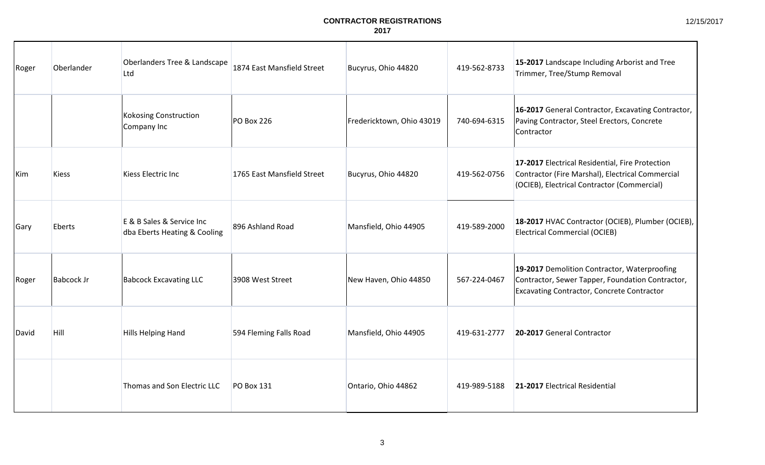| Roger | Oberlander   | Oberlanders Tree & Landscape<br>Ltd                       | 1874 East Mansfield Street | Bucyrus, Ohio 44820       | 419-562-8733 | 15-2017 Landscape Including Arborist and Tree<br>Trimmer, Tree/Stump Removal                                                                          |
|-------|--------------|-----------------------------------------------------------|----------------------------|---------------------------|--------------|-------------------------------------------------------------------------------------------------------------------------------------------------------|
|       |              | Kokosing Construction<br>Company Inc                      | PO Box 226                 | Fredericktown, Ohio 43019 | 740-694-6315 | 16-2017 General Contractor, Excavating Contractor,<br>Paving Contractor, Steel Erectors, Concrete<br>Contractor                                       |
| Kim   | <b>Kiess</b> | <b>Kiess Electric Inc</b>                                 | 1765 East Mansfield Street | Bucyrus, Ohio 44820       | 419-562-0756 | 17-2017 Electrical Residential, Fire Protection<br>Contractor (Fire Marshal), Electrical Commercial<br>(OCIEB), Electrical Contractor (Commercial)    |
| Gary  | Eberts       | E & B Sales & Service Inc<br>dba Eberts Heating & Cooling | 896 Ashland Road           | Mansfield, Ohio 44905     | 419-589-2000 | 18-2017 HVAC Contractor (OCIEB), Plumber (OCIEB),<br>Electrical Commercial (OCIEB)                                                                    |
| Roger | Babcock Jr   | <b>Babcock Excavating LLC</b>                             | 3908 West Street           | New Haven, Ohio 44850     | 567-224-0467 | 19-2017 Demolition Contractor, Waterproofing<br>Contractor, Sewer Tapper, Foundation Contractor,<br><b>Excavating Contractor, Concrete Contractor</b> |
| David | Hill         | <b>Hills Helping Hand</b>                                 | 594 Fleming Falls Road     | Mansfield, Ohio 44905     | 419-631-2777 | 20-2017 General Contractor                                                                                                                            |
|       |              | Thomas and Son Electric LLC                               | <b>PO Box 131</b>          | Ontario, Ohio 44862       | 419-989-5188 | 21-2017 Electrical Residential                                                                                                                        |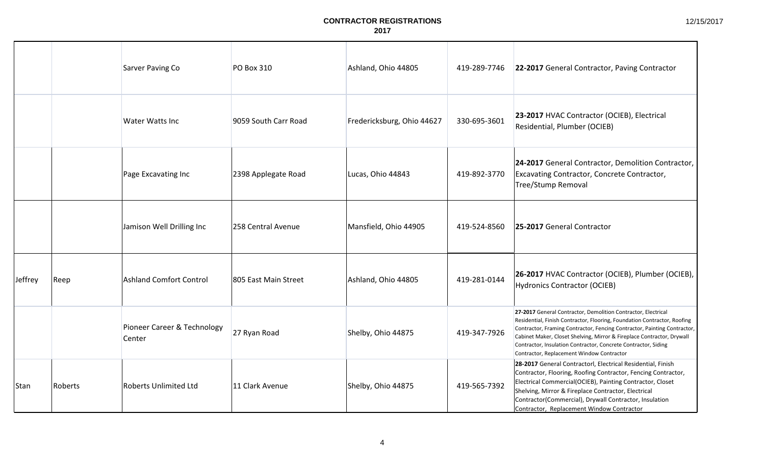|         |         | Sarver Paving Co                      | <b>PO Box 310</b>    | Ashland, Ohio 44805        | 419-289-7746 | 22-2017 General Contractor, Paving Contractor                                                                                                                                                                                                                                                                                                                                                                  |
|---------|---------|---------------------------------------|----------------------|----------------------------|--------------|----------------------------------------------------------------------------------------------------------------------------------------------------------------------------------------------------------------------------------------------------------------------------------------------------------------------------------------------------------------------------------------------------------------|
|         |         | <b>Water Watts Inc</b>                | 9059 South Carr Road | Fredericksburg, Ohio 44627 | 330-695-3601 | 23-2017 HVAC Contractor (OCIEB), Electrical<br>Residential, Plumber (OCIEB)                                                                                                                                                                                                                                                                                                                                    |
|         |         | Page Excavating Inc                   | 2398 Applegate Road  | Lucas, Ohio 44843          | 419-892-3770 | 24-2017 General Contractor, Demolition Contractor,<br>Excavating Contractor, Concrete Contractor,<br><b>Tree/Stump Removal</b>                                                                                                                                                                                                                                                                                 |
|         |         | Jamison Well Drilling Inc             | 258 Central Avenue   | Mansfield, Ohio 44905      | 419-524-8560 | 25-2017 General Contractor                                                                                                                                                                                                                                                                                                                                                                                     |
| Jeffrey | Reep    | <b>Ashland Comfort Control</b>        | 805 East Main Street | Ashland, Ohio 44805        | 419-281-0144 | 26-2017 HVAC Contractor (OCIEB), Plumber (OCIEB),<br><b>Hydronics Contractor (OCIEB)</b>                                                                                                                                                                                                                                                                                                                       |
|         |         | Pioneer Career & Technology<br>Center | 27 Ryan Road         | Shelby, Ohio 44875         | 419-347-7926 | 27-2017 General Contractor, Demolition Contractor, Electrical<br>Residential, Finish Contractor, Flooring, Foundation Contractor, Roofing<br>Contractor, Framing Contractor, Fencing Contractor, Painting Contractor,<br>Cabinet Maker, Closet Shelving, Mirror & Fireplace Contractor, Drywall<br>Contractor, Insulation Contractor, Concrete Contractor, Siding<br>Contractor, Replacement Window Contractor |
| Stan    | Roberts | <b>Roberts Unlimited Ltd</b>          | 11 Clark Avenue      | Shelby, Ohio 44875         | 419-565-7392 | 28-2017 General Contractorl, Electrical Residential, Finish<br>Contractor, Flooring, Roofing Contractor, Fencing Contractor,<br>Electrical Commercial(OCIEB), Painting Contractor, Closet<br>Shelving, Mirror & Fireplace Contractor, Electrical<br>Contractor(Commercial), Drywall Contractor, Insulation<br>Contractor, Replacement Window Contractor                                                        |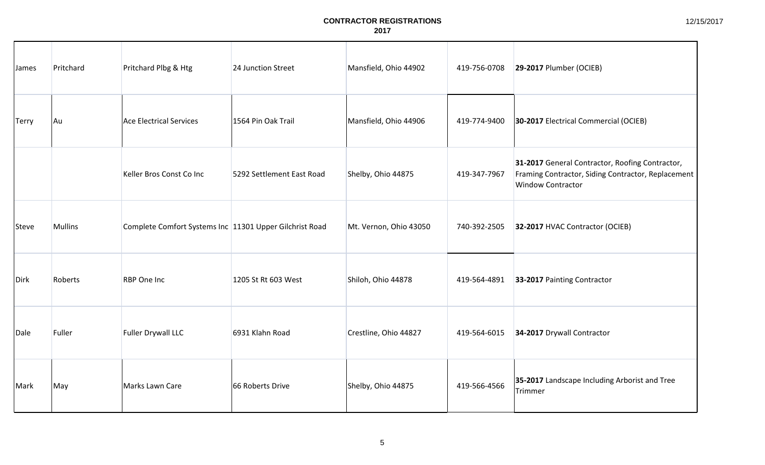| James        | Pritchard      | Pritchard Plbg & Htg                                    | 24 Junction Street        | Mansfield, Ohio 44902  | 419-756-0708 | 29-2017 Plumber (OCIEB)                                                                                                           |
|--------------|----------------|---------------------------------------------------------|---------------------------|------------------------|--------------|-----------------------------------------------------------------------------------------------------------------------------------|
| <b>Terry</b> | Au             | <b>Ace Electrical Services</b>                          | 1564 Pin Oak Trail        | Mansfield, Ohio 44906  | 419-774-9400 | 30-2017 Electrical Commercial (OCIEB)                                                                                             |
|              |                | Keller Bros Const Co Inc                                | 5292 Settlement East Road | Shelby, Ohio 44875     | 419-347-7967 | 31-2017 General Contractor, Roofing Contractor,<br>Framing Contractor, Siding Contractor, Replacement<br><b>Window Contractor</b> |
| Steve        | <b>Mullins</b> | Complete Comfort Systems Inc 11301 Upper Gilchrist Road |                           | Mt. Vernon, Ohio 43050 | 740-392-2505 | 32-2017 HVAC Contractor (OCIEB)                                                                                                   |
| Dirk         | Roberts        | <b>RBP</b> One Inc                                      | 1205 St Rt 603 West       | Shiloh, Ohio 44878     | 419-564-4891 | 33-2017 Painting Contractor                                                                                                       |
| Dale         | Fuller         | Fuller Drywall LLC                                      | 6931 Klahn Road           | Crestline, Ohio 44827  | 419-564-6015 | 34-2017 Drywall Contractor                                                                                                        |
| Mark         | May            | Marks Lawn Care                                         | 66 Roberts Drive          | Shelby, Ohio 44875     | 419-566-4566 | 35-2017 Landscape Including Arborist and Tree<br>Trimmer                                                                          |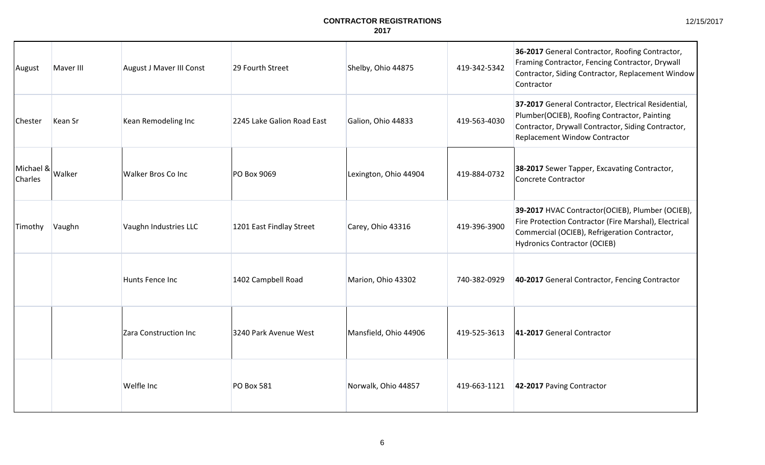| August               | Maver III | August J Maver III Const | 29 Fourth Street           | Shelby, Ohio 44875    | 419-342-5342 | 36-2017 General Contractor, Roofing Contractor,<br>Framing Contractor, Fencing Contractor, Drywall<br>Contractor, Siding Contractor, Replacement Window<br>Contractor                             |
|----------------------|-----------|--------------------------|----------------------------|-----------------------|--------------|---------------------------------------------------------------------------------------------------------------------------------------------------------------------------------------------------|
| Chester              | Kean Sr   | Kean Remodeling Inc      | 2245 Lake Galion Road East | Galion, Ohio 44833    | 419-563-4030 | 37-2017 General Contractor, Electrical Residential,<br>Plumber(OCIEB), Roofing Contractor, Painting<br>Contractor, Drywall Contractor, Siding Contractor,<br>Replacement Window Contractor        |
| Michael &<br>Charles | Walker    | Walker Bros Co Inc       | PO Box 9069                | Lexington, Ohio 44904 | 419-884-0732 | 38-2017 Sewer Tapper, Excavating Contractor,<br>Concrete Contractor                                                                                                                               |
| Timothy              | Vaughn    | Vaughn Industries LLC    | 1201 East Findlay Street   | Carey, Ohio 43316     | 419-396-3900 | 39-2017 HVAC Contractor(OCIEB), Plumber (OCIEB),<br>Fire Protection Contractor (Fire Marshal), Electrical<br>Commercial (OCIEB), Refrigeration Contractor,<br><b>Hydronics Contractor (OCIEB)</b> |
|                      |           | Hunts Fence Inc          | 1402 Campbell Road         | Marion, Ohio 43302    | 740-382-0929 | 40-2017 General Contractor, Fencing Contractor                                                                                                                                                    |
|                      |           | Zara Construction Inc    | 3240 Park Avenue West      | Mansfield, Ohio 44906 | 419-525-3613 | 41-2017 General Contractor                                                                                                                                                                        |
|                      |           | Welfle Inc               | <b>PO Box 581</b>          | Norwalk, Ohio 44857   | 419-663-1121 | 42-2017 Paving Contractor                                                                                                                                                                         |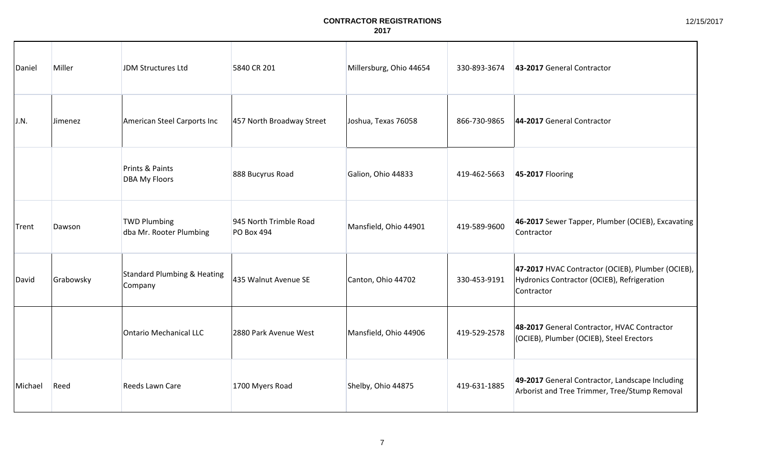| Daniel  | Miller    | JDM Structures Ltd                             | 5840 CR 201                                 | Millersburg, Ohio 44654 | 330-893-3674 | 43-2017 General Contractor                                                                                     |
|---------|-----------|------------------------------------------------|---------------------------------------------|-------------------------|--------------|----------------------------------------------------------------------------------------------------------------|
| J.N.    | Jimenez   | American Steel Carports Inc                    | 457 North Broadway Street                   | Joshua, Texas 76058     | 866-730-9865 | 44-2017 General Contractor                                                                                     |
|         |           | Prints & Paints<br><b>DBA My Floors</b>        | 888 Bucyrus Road                            | Galion, Ohio 44833      | 419-462-5663 | 45-2017 Flooring                                                                                               |
| Trent   | Dawson    | <b>TWD Plumbing</b><br>dba Mr. Rooter Plumbing | 945 North Trimble Road<br><b>PO Box 494</b> | Mansfield, Ohio 44901   | 419-589-9600 | 46-2017 Sewer Tapper, Plumber (OCIEB), Excavating<br>Contractor                                                |
| David   | Grabowsky | Standard Plumbing & Heating<br>Company         | 435 Walnut Avenue SE                        | Canton, Ohio 44702      | 330-453-9191 | 47-2017 HVAC Contractor (OCIEB), Plumber (OCIEB),<br>Hydronics Contractor (OCIEB), Refrigeration<br>Contractor |
|         |           | Ontario Mechanical LLC                         | 2880 Park Avenue West                       | Mansfield, Ohio 44906   | 419-529-2578 | 48-2017 General Contractor, HVAC Contractor<br>(OCIEB), Plumber (OCIEB), Steel Erectors                        |
| Michael | Reed      | Reeds Lawn Care                                | 1700 Myers Road                             | Shelby, Ohio 44875      | 419-631-1885 | 49-2017 General Contractor, Landscape Including<br>Arborist and Tree Trimmer, Tree/Stump Removal               |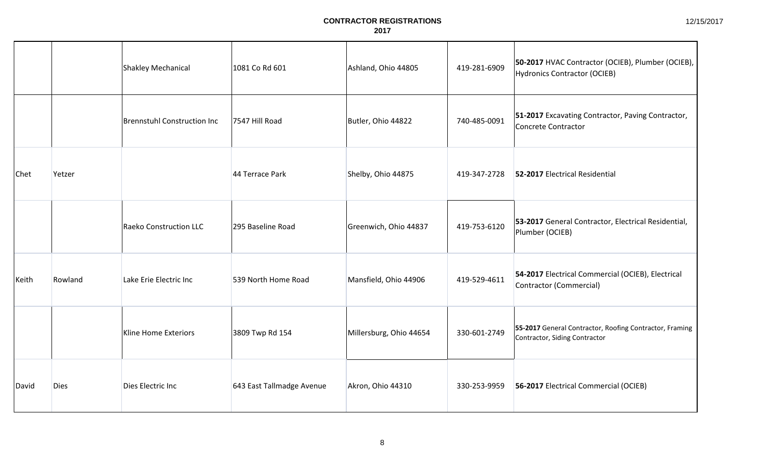|             |             | Shakley Mechanical            | 1081 Co Rd 601            | Ashland, Ohio 44805     | 419-281-6909 | 50-2017 HVAC Contractor (OCIEB), Plumber (OCIEB),<br>Hydronics Contractor (OCIEB)        |
|-------------|-------------|-------------------------------|---------------------------|-------------------------|--------------|------------------------------------------------------------------------------------------|
|             |             | Brennstuhl Construction Inc   | 7547 Hill Road            | Butler, Ohio 44822      | 740-485-0091 | 51-2017 Excavating Contractor, Paving Contractor,<br>Concrete Contractor                 |
| <b>Chet</b> | Yetzer      |                               | 44 Terrace Park           | Shelby, Ohio 44875      | 419-347-2728 | 52-2017 Electrical Residential                                                           |
|             |             | <b>Raeko Construction LLC</b> | 295 Baseline Road         | Greenwich, Ohio 44837   | 419-753-6120 | 53-2017 General Contractor, Electrical Residential,<br>Plumber (OCIEB)                   |
| Keith       | Rowland     | Lake Erie Electric Inc        | 539 North Home Road       | Mansfield, Ohio 44906   | 419-529-4611 | 54-2017 Electrical Commercial (OCIEB), Electrical<br>Contractor (Commercial)             |
|             |             | <b>Kline Home Exteriors</b>   | 3809 Twp Rd 154           | Millersburg, Ohio 44654 | 330-601-2749 | 55-2017 General Contractor, Roofing Contractor, Framing<br>Contractor, Siding Contractor |
| David       | <b>Dies</b> | Dies Electric Inc             | 643 East Tallmadge Avenue | Akron, Ohio 44310       | 330-253-9959 | 56-2017 Electrical Commercial (OCIEB)                                                    |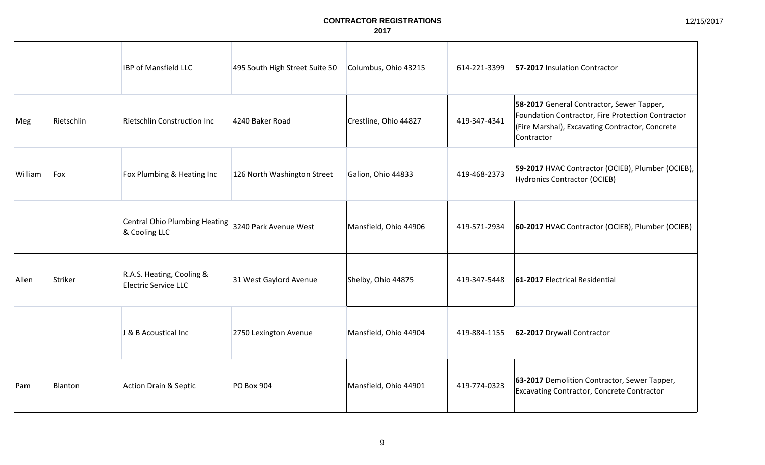|         |            | <b>IBP of Mansfield LLC</b>                       | 495 South High Street Suite 50 | Columbus, Ohio 43215  | 614-221-3399 | 57-2017 Insulation Contractor                                                                                                                                   |
|---------|------------|---------------------------------------------------|--------------------------------|-----------------------|--------------|-----------------------------------------------------------------------------------------------------------------------------------------------------------------|
| Meg     | Rietschlin | Rietschlin Construction Inc                       | 4240 Baker Road                | Crestline, Ohio 44827 | 419-347-4341 | 58-2017 General Contractor, Sewer Tapper,<br>Foundation Contractor, Fire Protection Contractor<br>(Fire Marshal), Excavating Contractor, Concrete<br>Contractor |
| William | Fox        | Fox Plumbing & Heating Inc                        | 126 North Washington Street    | Galion, Ohio 44833    | 419-468-2373 | 59-2017 HVAC Contractor (OCIEB), Plumber (OCIEB),<br><b>Hydronics Contractor (OCIEB)</b>                                                                        |
|         |            | Central Ohio Plumbing Heating<br>& Cooling LLC    | 3240 Park Avenue West          | Mansfield, Ohio 44906 | 419-571-2934 | 60-2017 HVAC Contractor (OCIEB), Plumber (OCIEB)                                                                                                                |
| Allen   | Striker    | R.A.S. Heating, Cooling &<br>Electric Service LLC | 31 West Gaylord Avenue         | Shelby, Ohio 44875    | 419-347-5448 | 61-2017 Electrical Residential                                                                                                                                  |
|         |            | J & B Acoustical Inc                              | 2750 Lexington Avenue          | Mansfield, Ohio 44904 | 419-884-1155 | 62-2017 Drywall Contractor                                                                                                                                      |
| Pam     | Blanton    | Action Drain & Septic                             | PO Box 904                     | Mansfield, Ohio 44901 | 419-774-0323 | 63-2017 Demolition Contractor, Sewer Tapper,<br>Excavating Contractor, Concrete Contractor                                                                      |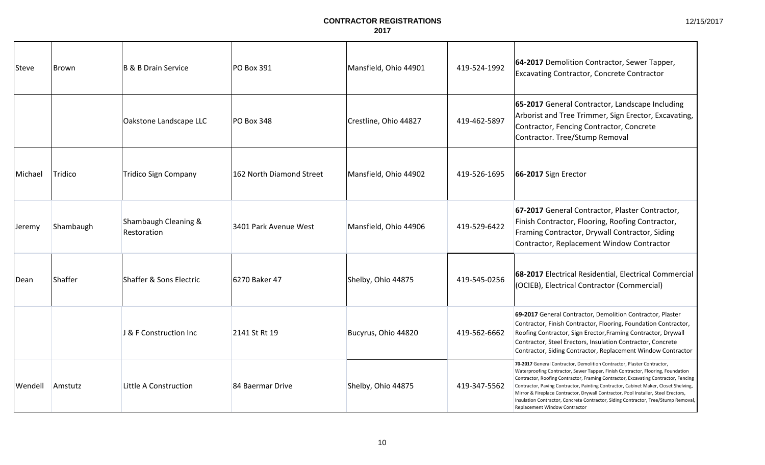| Steve          | Brown     | B & B Drain Service                 | PO Box 391               | Mansfield, Ohio 44901 | 419-524-1992 | 64-2017 Demolition Contractor, Sewer Tapper,<br><b>Excavating Contractor, Concrete Contractor</b>                                                                                                                                                                                                                                                                                                                                                                                                                                                          |
|----------------|-----------|-------------------------------------|--------------------------|-----------------------|--------------|------------------------------------------------------------------------------------------------------------------------------------------------------------------------------------------------------------------------------------------------------------------------------------------------------------------------------------------------------------------------------------------------------------------------------------------------------------------------------------------------------------------------------------------------------------|
|                |           | Oakstone Landscape LLC              | <b>PO Box 348</b>        | Crestline, Ohio 44827 | 419-462-5897 | 65-2017 General Contractor, Landscape Including<br>Arborist and Tree Trimmer, Sign Erector, Excavating,<br>Contractor, Fencing Contractor, Concrete<br>Contractor. Tree/Stump Removal                                                                                                                                                                                                                                                                                                                                                                      |
| Michael        | Tridico   | <b>Tridico Sign Company</b>         | 162 North Diamond Street | Mansfield, Ohio 44902 | 419-526-1695 | 66-2017 Sign Erector                                                                                                                                                                                                                                                                                                                                                                                                                                                                                                                                       |
| Jeremy         | Shambaugh | Shambaugh Cleaning &<br>Restoration | 3401 Park Avenue West    | Mansfield, Ohio 44906 | 419-529-6422 | 67-2017 General Contractor, Plaster Contractor,<br>Finish Contractor, Flooring, Roofing Contractor,<br>Framing Contractor, Drywall Contractor, Siding<br>Contractor, Replacement Window Contractor                                                                                                                                                                                                                                                                                                                                                         |
| <b>Dean</b>    | Shaffer   | Shaffer & Sons Electric             | 6270 Baker 47            | Shelby, Ohio 44875    | 419-545-0256 | 68-2017 Electrical Residential, Electrical Commercial<br>(OCIEB), Electrical Contractor (Commercial)                                                                                                                                                                                                                                                                                                                                                                                                                                                       |
|                |           | J & F Construction Inc              | 2141 St Rt 19            | Bucyrus, Ohio 44820   | 419-562-6662 | 69-2017 General Contractor, Demolition Contractor, Plaster<br>Contractor, Finish Contractor, Flooring, Foundation Contractor,<br>Roofing Contractor, Sign Erector, Framing Contractor, Drywall<br>Contractor, Steel Erectors, Insulation Contractor, Concrete<br>Contractor, Siding Contractor, Replacement Window Contractor                                                                                                                                                                                                                              |
| <b>Wendell</b> | Amstutz   | Little A Construction               | 84 Baermar Drive         | Shelby, Ohio 44875    | 419-347-5562 | 70-2017 General Contractor, Demolition Contractor, Plaster Contractor,<br>Waterproofing Contractor, Sewer Tapper, Finish Contractor, Flooring, Foundation<br>Contractor, Roofing Contractor, Framing Contractor, Excavating Contractor, Fencing<br>Contractor, Paving Contractor, Painting Contractor, Cabinet Maker, Closet Shelving,<br>Mirror & Fireplace Contractor, Drywall Contractor, Pool Installer, Steel Erectors,<br>Insulation Contractor, Concrete Contractor, Siding Contractor, Tree/Stump Removal,<br><b>Replacement Window Contractor</b> |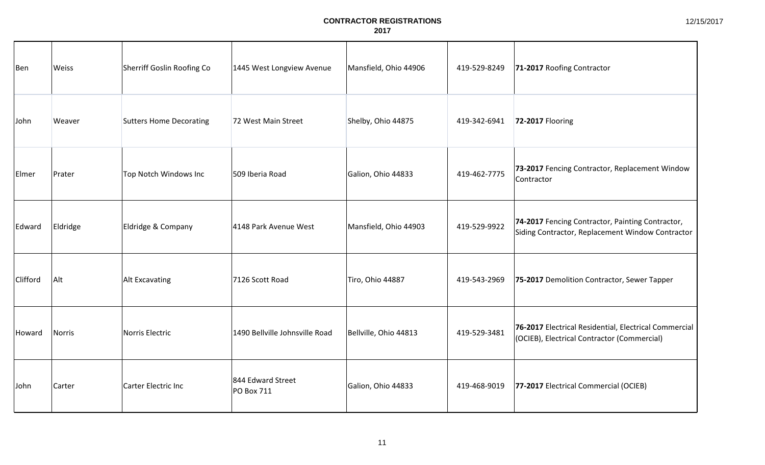| Ben      | Weiss         | Sherriff Goslin Roofing Co     | 1445 West Longview Avenue       | Mansfield, Ohio 44906 | 419-529-8249 | 71-2017 Roofing Contractor                                                                           |
|----------|---------------|--------------------------------|---------------------------------|-----------------------|--------------|------------------------------------------------------------------------------------------------------|
| John     | Weaver        | <b>Sutters Home Decorating</b> | 72 West Main Street             | Shelby, Ohio 44875    | 419-342-6941 | 72-2017 Flooring                                                                                     |
| Elmer    | Prater        | Top Notch Windows Inc          | 509 Iberia Road                 | Galion, Ohio 44833    | 419-462-7775 | 73-2017 Fencing Contractor, Replacement Window<br>Contractor                                         |
| Edward   | Eldridge      | Eldridge & Company             | 4148 Park Avenue West           | Mansfield, Ohio 44903 | 419-529-9922 | 74-2017 Fencing Contractor, Painting Contractor,<br>Siding Contractor, Replacement Window Contractor |
| Clifford | Alt           | Alt Excavating                 | 7126 Scott Road                 | Tiro, Ohio 44887      | 419-543-2969 | 75-2017 Demolition Contractor, Sewer Tapper                                                          |
| Howard   | <b>Norris</b> | Norris Electric                | 1490 Bellville Johnsville Road  | Bellville, Ohio 44813 | 419-529-3481 | 76-2017 Electrical Residential, Electrical Commercial<br>(OCIEB), Electrical Contractor (Commercial) |
| John     | Carter        | Carter Electric Inc            | 844 Edward Street<br>PO Box 711 | Galion, Ohio 44833    | 419-468-9019 | 77-2017 Electrical Commercial (OCIEB)                                                                |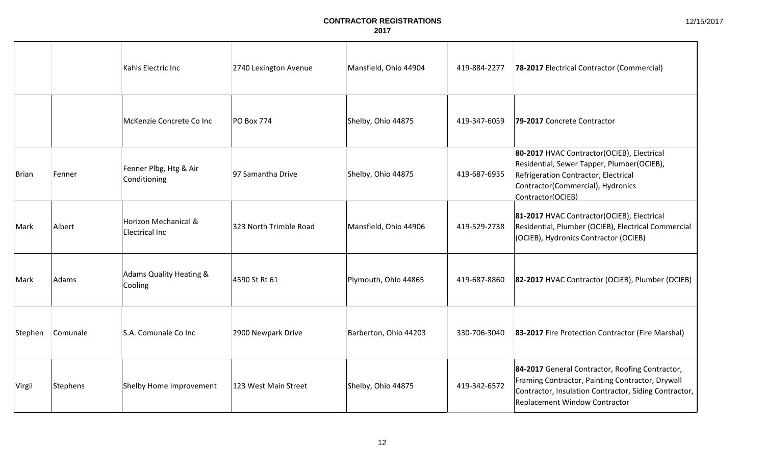|              |          | Kahls Electric Inc                     | 2740 Lexington Avenue  | Mansfield, Ohio 44904 | 419-884-2277 | 78-2017 Electrical Contractor (Commercial)                                                                                                                                                    |
|--------------|----------|----------------------------------------|------------------------|-----------------------|--------------|-----------------------------------------------------------------------------------------------------------------------------------------------------------------------------------------------|
|              |          | McKenzie Concrete Co Inc               | <b>PO Box 774</b>      | Shelby, Ohio 44875    | 419-347-6059 | 79-2017 Concrete Contractor                                                                                                                                                                   |
| <b>Brian</b> | Fenner   | Fenner Plbg, Htg & Air<br>Conditioning | 97 Samantha Drive      | Shelby, Ohio 44875    | 419-687-6935 | 80-2017 HVAC Contractor(OCIEB), Electrical<br>Residential, Sewer Tapper, Plumber(OCIEB),<br>Refrigeration Contractor, Electrical<br>Contractor(Commercial), Hydronics<br>Contractor(OCIEB)    |
| Mark         | Albert   | Horizon Mechanical &<br>Electrical Inc | 323 North Trimble Road | Mansfield, Ohio 44906 | 419-529-2738 | 81-2017 HVAC Contractor(OCIEB), Electrical<br>Residential, Plumber (OCIEB), Electrical Commercial<br>(OCIEB), Hydronics Contractor (OCIEB)                                                    |
| Mark         | Adams    | Adams Quality Heating &<br>Cooling     | 4590 St Rt 61          | Plymouth, Ohio 44865  | 419-687-8860 | 82-2017 HVAC Contractor (OCIEB), Plumber (OCIEB)                                                                                                                                              |
| Stephen      | Comunale | S.A. Comunale Co Inc                   | 2900 Newpark Drive     | Barberton, Ohio 44203 | 330-706-3040 | 83-2017 Fire Protection Contractor (Fire Marshal)                                                                                                                                             |
| Virgil       | Stephens | Shelby Home Improvement                | 123 West Main Street   | Shelby, Ohio 44875    | 419-342-6572 | 84-2017 General Contractor, Roofing Contractor,<br>Framing Contractor, Painting Contractor, Drywall<br>Contractor, Insulation Contractor, Siding Contractor,<br>Replacement Window Contractor |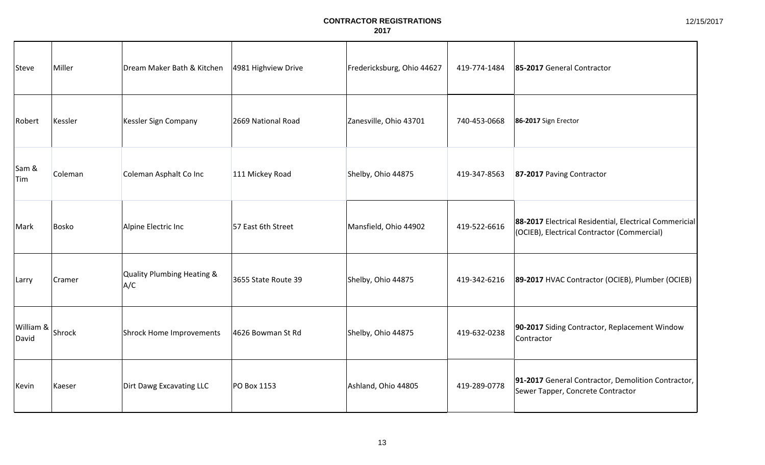| Steve              | Miller  | Dream Maker Bath & Kitchen        | 4981 Highview Drive | Fredericksburg, Ohio 44627 | 419-774-1484 | 85-2017 General Contractor                                                                            |
|--------------------|---------|-----------------------------------|---------------------|----------------------------|--------------|-------------------------------------------------------------------------------------------------------|
| Robert             | Kessler | Kessler Sign Company              | 2669 National Road  | Zanesville, Ohio 43701     | 740-453-0668 | 86-2017 Sign Erector                                                                                  |
| Sam &<br>Tim       | Coleman | Coleman Asphalt Co Inc            | 111 Mickey Road     | Shelby, Ohio 44875         | 419-347-8563 | 87-2017 Paving Contractor                                                                             |
| Mark               | Bosko   | Alpine Electric Inc               | 57 East 6th Street  | Mansfield, Ohio 44902      | 419-522-6616 | 88-2017 Electrical Residential, Electrical Commericial<br>(OCIEB), Electrical Contractor (Commercial) |
| Larry              | Cramer  | Quality Plumbing Heating &<br>A/C | 3655 State Route 39 | Shelby, Ohio 44875         | 419-342-6216 | 89-2017 HVAC Contractor (OCIEB), Plumber (OCIEB)                                                      |
| William &<br>David | Shrock  | Shrock Home Improvements          | 4626 Bowman St Rd   | Shelby, Ohio 44875         | 419-632-0238 | 90-2017 Siding Contractor, Replacement Window<br>Contractor                                           |
| Kevin              | Kaeser  | Dirt Dawg Excavating LLC          | <b>PO Box 1153</b>  | Ashland, Ohio 44805        | 419-289-0778 | 91-2017 General Contractor, Demolition Contractor,<br>Sewer Tapper, Concrete Contractor               |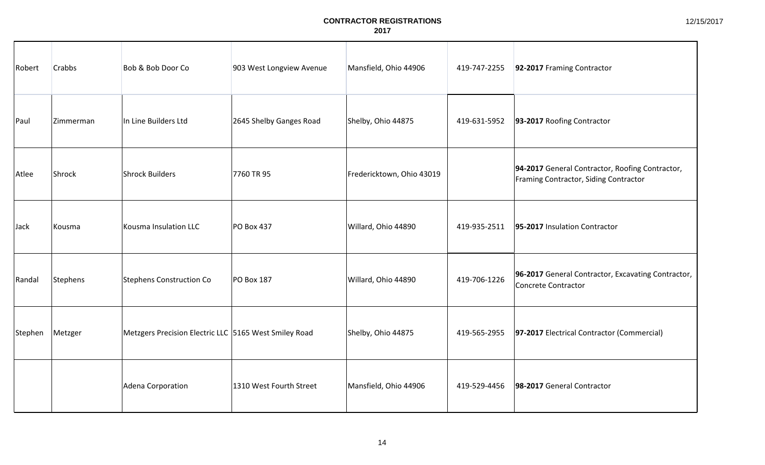| Robert  | <b>Crabbs</b> | Bob & Bob Door Co                                     | 903 West Longview Avenue | Mansfield, Ohio 44906     | 419-747-2255 | 92-2017 Framing Contractor                                                               |
|---------|---------------|-------------------------------------------------------|--------------------------|---------------------------|--------------|------------------------------------------------------------------------------------------|
| Paul    | Zimmerman     | In Line Builders Ltd                                  | 2645 Shelby Ganges Road  | Shelby, Ohio 44875        | 419-631-5952 | 93-2017 Roofing Contractor                                                               |
| Atlee   | Shrock        | Shrock Builders                                       | 7760 TR 95               | Fredericktown, Ohio 43019 |              | 94-2017 General Contractor, Roofing Contractor,<br>Framing Contractor, Siding Contractor |
| Jack    | Kousma        | Kousma Insulation LLC                                 | <b>PO Box 437</b>        | Willard, Ohio 44890       | 419-935-2511 | 95-2017 Insulation Contractor                                                            |
| Randal  | Stephens      | Stephens Construction Co                              | <b>PO Box 187</b>        | Willard, Ohio 44890       | 419-706-1226 | 96-2017 General Contractor, Excavating Contractor,<br>Concrete Contractor                |
| Stephen | Metzger       | Metzgers Precision Electric LLC 5165 West Smiley Road |                          | Shelby, Ohio 44875        | 419-565-2955 | 97-2017 Electrical Contractor (Commercial)                                               |
|         |               | Adena Corporation                                     | 1310 West Fourth Street  | Mansfield, Ohio 44906     | 419-529-4456 | 98-2017 General Contractor                                                               |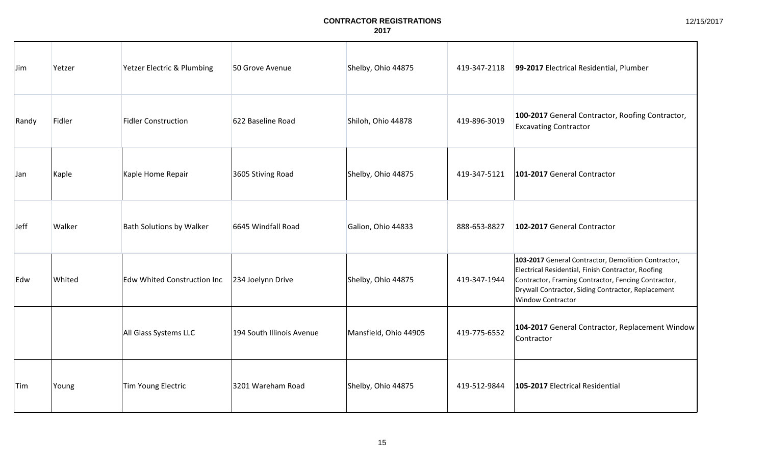| IJim.      | Yetzer | Yetzer Electric & Plumbing         | 50 Grove Avenue           | Shelby, Ohio 44875    | 419-347-2118 | 99-2017 Electrical Residential, Plumber                                                                                                                                                                                                     |
|------------|--------|------------------------------------|---------------------------|-----------------------|--------------|---------------------------------------------------------------------------------------------------------------------------------------------------------------------------------------------------------------------------------------------|
| Randy      | Fidler | <b>Fidler Construction</b>         | 622 Baseline Road         | Shiloh, Ohio 44878    | 419-896-3019 | 100-2017 General Contractor, Roofing Contractor,<br><b>Excavating Contractor</b>                                                                                                                                                            |
| <b>Jan</b> | Kaple  | Kaple Home Repair                  | 3605 Stiving Road         | Shelby, Ohio 44875    | 419-347-5121 | 101-2017 General Contractor                                                                                                                                                                                                                 |
| Jeff       | Walker | <b>Bath Solutions by Walker</b>    | 6645 Windfall Road        | Galion, Ohio 44833    | 888-653-8827 | 102-2017 General Contractor                                                                                                                                                                                                                 |
| Edw        | Whited | <b>Edw Whited Construction Inc</b> | 234 Joelynn Drive         | Shelby, Ohio 44875    | 419-347-1944 | 103-2017 General Contractor, Demolition Contractor,<br>Electrical Residential, Finish Contractor, Roofing<br>Contractor, Framing Contractor, Fencing Contractor,<br>Drywall Contractor, Siding Contractor, Replacement<br>Window Contractor |
|            |        | All Glass Systems LLC              | 194 South Illinois Avenue | Mansfield, Ohio 44905 | 419-775-6552 | 104-2017 General Contractor, Replacement Window<br>Contractor                                                                                                                                                                               |
| Tim        | Young  | Tim Young Electric                 | 3201 Wareham Road         | Shelby, Ohio 44875    | 419-512-9844 | 105-2017 Electrical Residential                                                                                                                                                                                                             |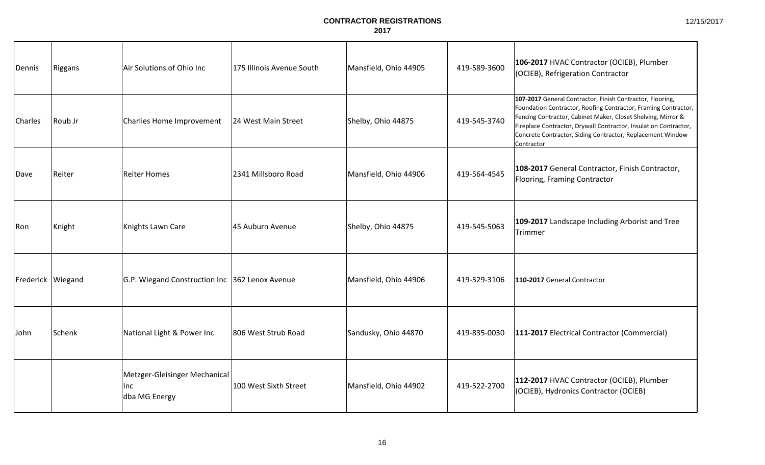| Dennis            | Riggans | Air Solutions of Ohio Inc                              | 175 Illinois Avenue South | Mansfield, Ohio 44905 | 419-589-3600 | 106-2017 HVAC Contractor (OCIEB), Plumber<br>(OCIEB), Refrigeration Contractor                                                                                                                                                                                                                                                              |
|-------------------|---------|--------------------------------------------------------|---------------------------|-----------------------|--------------|---------------------------------------------------------------------------------------------------------------------------------------------------------------------------------------------------------------------------------------------------------------------------------------------------------------------------------------------|
| <b>Charles</b>    | Roub Jr | Charlies Home Improvement                              | 24 West Main Street       | Shelby, Ohio 44875    | 419-545-3740 | 107-2017 General Contractor, Finish Contractor, Flooring,<br>Foundation Contractor, Roofing Contractor, Framing Contractor,<br>Fencing Contractor, Cabinet Maker, Closet Shelving, Mirror &<br>Fireplace Contractor, Drywall Contractor, Insulation Contractor,<br>Concrete Contractor, Siding Contractor, Replacement Window<br>Contractor |
| Dave              | Reiter  | <b>Reiter Homes</b>                                    | 2341 Millsboro Road       | Mansfield, Ohio 44906 | 419-564-4545 | 108-2017 General Contractor, Finish Contractor,<br>Flooring, Framing Contractor                                                                                                                                                                                                                                                             |
| Ron               | Knight  | Knights Lawn Care                                      | 45 Auburn Avenue          | Shelby, Ohio 44875    | 419-545-5063 | 109-2017 Landscape Including Arborist and Tree<br>Trimmer                                                                                                                                                                                                                                                                                   |
| Frederick Wiegand |         | G.P. Wiegand Construction Inc 362 Lenox Avenue         |                           | Mansfield, Ohio 44906 | 419-529-3106 | 110-2017 General Contractor                                                                                                                                                                                                                                                                                                                 |
| John              | Schenk  | National Light & Power Inc                             | 806 West Strub Road       | Sandusky, Ohio 44870  | 419-835-0030 | 111-2017 Electrical Contractor (Commercial)                                                                                                                                                                                                                                                                                                 |
|                   |         | Metzger-Gleisinger Mechanical<br>llnc<br>dba MG Energy | 100 West Sixth Street     | Mansfield, Ohio 44902 | 419-522-2700 | 112-2017 HVAC Contractor (OCIEB), Plumber<br>(OCIEB), Hydronics Contractor (OCIEB)                                                                                                                                                                                                                                                          |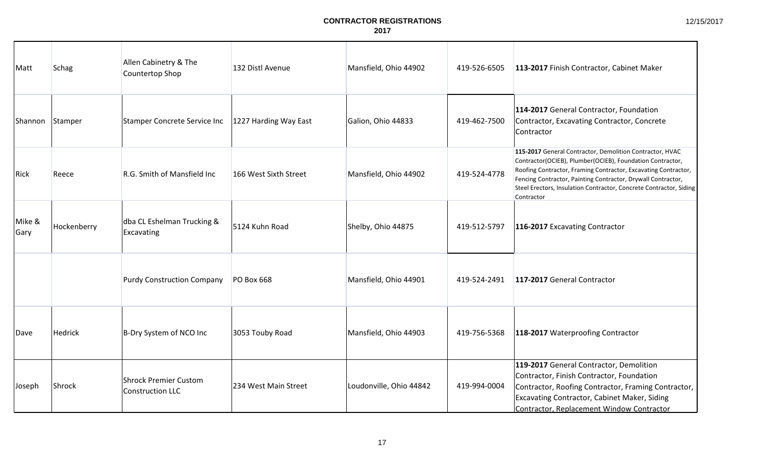| Matt           | <b>Schag</b> | Allen Cabinetry & The<br>Countertop Shop                | 132 Distl Avenue      | Mansfield, Ohio 44902   | 419-526-6505 | 113-2017 Finish Contractor, Cabinet Maker                                                                                                                                                                                                                                                                                                   |
|----------------|--------------|---------------------------------------------------------|-----------------------|-------------------------|--------------|---------------------------------------------------------------------------------------------------------------------------------------------------------------------------------------------------------------------------------------------------------------------------------------------------------------------------------------------|
| Shannon        | Stamper      | Stamper Concrete Service Inc                            | 1227 Harding Way East | Galion, Ohio 44833      | 419-462-7500 | 114-2017 General Contractor, Foundation<br>Contractor, Excavating Contractor, Concrete<br>Contractor                                                                                                                                                                                                                                        |
| Rick           | Reece        | R.G. Smith of Mansfield Inc                             | 166 West Sixth Street | Mansfield, Ohio 44902   | 419-524-4778 | 115-2017 General Contractor, Demolition Contractor, HVAC<br>Contractor(OCIEB), Plumber(OCIEB), Foundation Contractor,<br>Roofing Contractor, Framing Contractor, Excavating Contractor,<br>Fencing Contractor, Painting Contractor, Drywall Contractor,<br>Steel Erectors, Insulation Contractor, Concrete Contractor, Siding<br>Contractor |
| Mike &<br>Gary | Hockenberry  | dba CL Eshelman Trucking &<br>Excavating                | 5124 Kuhn Road        | Shelby, Ohio 44875      | 419-512-5797 | 116-2017 Excavating Contractor                                                                                                                                                                                                                                                                                                              |
|                |              | <b>Purdy Construction Company</b>                       | <b>PO Box 668</b>     | Mansfield, Ohio 44901   | 419-524-2491 | 117-2017 General Contractor                                                                                                                                                                                                                                                                                                                 |
| Dave           | Hedrick      | B-Dry System of NCO Inc                                 | 3053 Touby Road       | Mansfield, Ohio 44903   | 419-756-5368 | 118-2017 Waterproofing Contractor                                                                                                                                                                                                                                                                                                           |
| Joseph         | Shrock       | <b>Shrock Premier Custom</b><br><b>Construction LLC</b> | 234 West Main Street  | Loudonville, Ohio 44842 | 419-994-0004 | 119-2017 General Contractor, Demolition<br>Contractor, Finish Contractor, Foundation<br>Contractor, Roofing Contractor, Framing Contractor,<br>Excavating Contractor, Cabinet Maker, Siding<br>Contractor, Replacement Window Contractor                                                                                                    |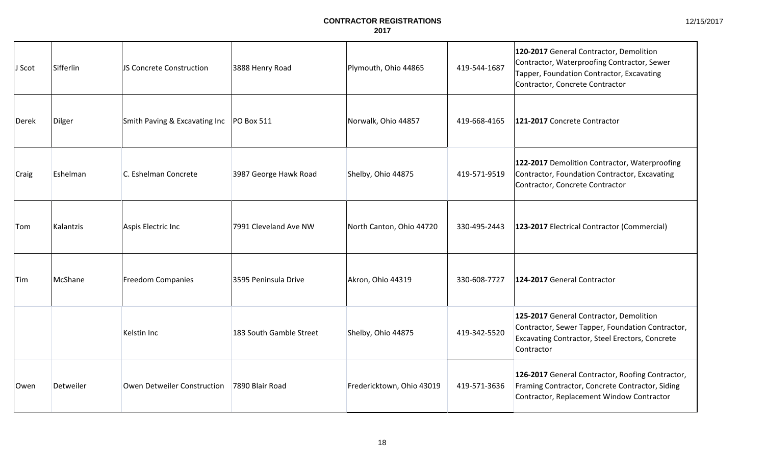| J Scot       | Sifferlin | JS Concrete Construction                   | 3888 Henry Road         | Plymouth, Ohio 44865      | 419-544-1687 | 120-2017 General Contractor, Demolition<br>Contractor, Waterproofing Contractor, Sewer<br>Tapper, Foundation Contractor, Excavating<br>Contractor, Concrete Contractor |
|--------------|-----------|--------------------------------------------|-------------------------|---------------------------|--------------|------------------------------------------------------------------------------------------------------------------------------------------------------------------------|
| Derek        | Dilger    | Smith Paving & Excavating Inc   PO Box 511 |                         | Norwalk, Ohio 44857       | 419-668-4165 | 121-2017 Concrete Contractor                                                                                                                                           |
| <b>Craig</b> | Eshelman  | C. Eshelman Concrete                       | 3987 George Hawk Road   | Shelby, Ohio 44875        | 419-571-9519 | 122-2017 Demolition Contractor, Waterproofing<br>Contractor, Foundation Contractor, Excavating<br>Contractor, Concrete Contractor                                      |
| <b>Tom</b>   | Kalantzis | Aspis Electric Inc                         | 7991 Cleveland Ave NW   | North Canton, Ohio 44720  | 330-495-2443 | 123-2017 Electrical Contractor (Commercial)                                                                                                                            |
| <b>Tim</b>   | McShane   | Freedom Companies                          | 3595 Peninsula Drive    | Akron, Ohio 44319         | 330-608-7727 | 124-2017 General Contractor                                                                                                                                            |
|              |           | Kelstin Inc                                | 183 South Gamble Street | Shelby, Ohio 44875        | 419-342-5520 | 125-2017 General Contractor, Demolition<br>Contractor, Sewer Tapper, Foundation Contractor,<br>Excavating Contractor, Steel Erectors, Concrete<br>Contractor           |
| IOwen        | Detweiler | Owen Detweiler Construction                | 7890 Blair Road         | Fredericktown, Ohio 43019 | 419-571-3636 | 126-2017 General Contractor, Roofing Contractor,<br>Framing Contractor, Concrete Contractor, Siding<br>Contractor, Replacement Window Contractor                       |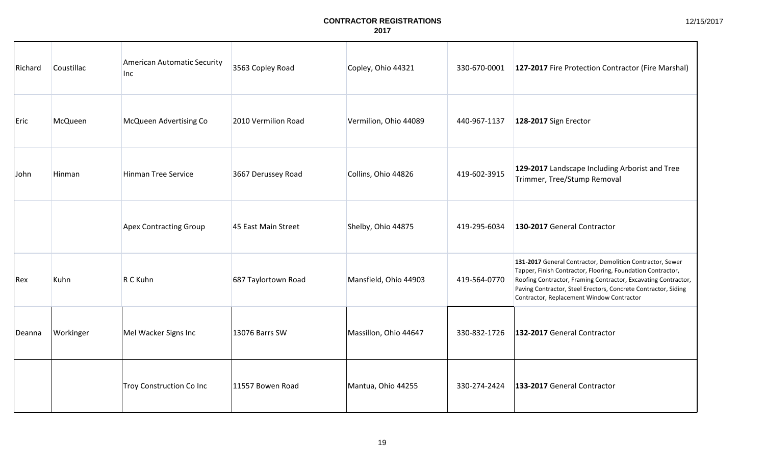| Richard | Coustillac | American Automatic Security<br>Inc | 3563 Copley Road    | Copley, Ohio 44321    | 330-670-0001 | 127-2017 Fire Protection Contractor (Fire Marshal)                                                                                                                                                                                                                                                        |
|---------|------------|------------------------------------|---------------------|-----------------------|--------------|-----------------------------------------------------------------------------------------------------------------------------------------------------------------------------------------------------------------------------------------------------------------------------------------------------------|
| Eric    | McQueen    | McQueen Advertising Co             | 2010 Vermilion Road | Vermilion, Ohio 44089 | 440-967-1137 | 128-2017 Sign Erector                                                                                                                                                                                                                                                                                     |
| John    | Hinman     | <b>Hinman Tree Service</b>         | 3667 Derussey Road  | Collins, Ohio 44826   | 419-602-3915 | 129-2017 Landscape Including Arborist and Tree<br>Trimmer, Tree/Stump Removal                                                                                                                                                                                                                             |
|         |            | <b>Apex Contracting Group</b>      | 45 East Main Street | Shelby, Ohio 44875    | 419-295-6034 | 130-2017 General Contractor                                                                                                                                                                                                                                                                               |
| Rex     | Kuhn       | R C Kuhn                           | 687 Taylortown Road | Mansfield, Ohio 44903 | 419-564-0770 | 131-2017 General Contractor, Demolition Contractor, Sewer<br>Tapper, Finish Contractor, Flooring, Foundation Contractor,<br>Roofing Contractor, Framing Contractor, Excavating Contractor,<br>Paving Contractor, Steel Erectors, Concrete Contractor, Siding<br>Contractor, Replacement Window Contractor |
| Deanna  | Workinger  | Mel Wacker Signs Inc               | 13076 Barrs SW      | Massillon, Ohio 44647 | 330-832-1726 | 132-2017 General Contractor                                                                                                                                                                                                                                                                               |
|         |            | Troy Construction Co Inc           | 11557 Bowen Road    | Mantua, Ohio 44255    | 330-274-2424 | 133-2017 General Contractor                                                                                                                                                                                                                                                                               |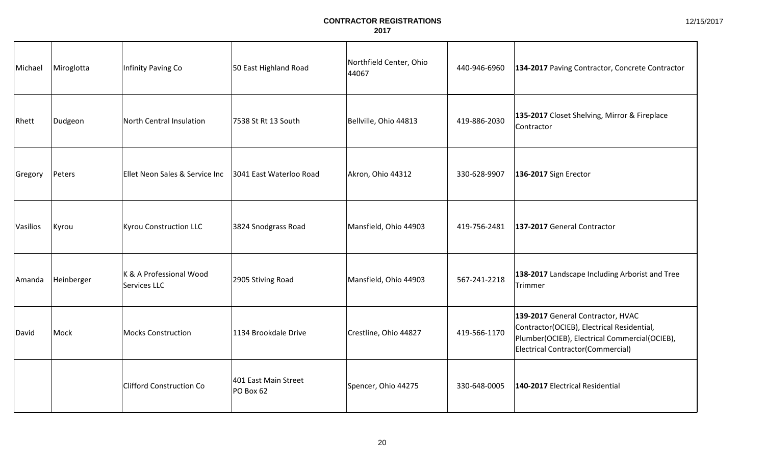| Michael         | Miroglotta | Infinity Paving Co                      | 50 East Highland Road             | Northfield Center, Ohio<br>44067 | 440-946-6960 | 134-2017 Paving Contractor, Concrete Contractor                                                                                                                       |
|-----------------|------------|-----------------------------------------|-----------------------------------|----------------------------------|--------------|-----------------------------------------------------------------------------------------------------------------------------------------------------------------------|
| Rhett           | Dudgeon    | North Central Insulation                | 7538 St Rt 13 South               | Bellville, Ohio 44813            | 419-886-2030 | 135-2017 Closet Shelving, Mirror & Fireplace<br>Contractor                                                                                                            |
| Gregory         | Peters     | Ellet Neon Sales & Service Inc          | 3041 East Waterloo Road           | Akron, Ohio 44312                | 330-628-9907 | 136-2017 Sign Erector                                                                                                                                                 |
| <b>Vasilios</b> | Kyrou      | Kyrou Construction LLC                  | 3824 Snodgrass Road               | Mansfield, Ohio 44903            | 419-756-2481 | 137-2017 General Contractor                                                                                                                                           |
| Amanda          | Heinberger | K & A Professional Wood<br>Services LLC | 2905 Stiving Road                 | Mansfield, Ohio 44903            | 567-241-2218 | 138-2017 Landscape Including Arborist and Tree<br>Trimmer                                                                                                             |
| David           | Mock       | Mocks Construction                      | 1134 Brookdale Drive              | Crestline, Ohio 44827            | 419-566-1170 | 139-2017 General Contractor, HVAC<br>Contractor(OCIEB), Electrical Residential,<br>Plumber(OCIEB), Electrical Commercial(OCIEB),<br>Electrical Contractor(Commercial) |
|                 |            | <b>Clifford Construction Co</b>         | 401 East Main Street<br>PO Box 62 | Spencer, Ohio 44275              | 330-648-0005 | 140-2017 Electrical Residential                                                                                                                                       |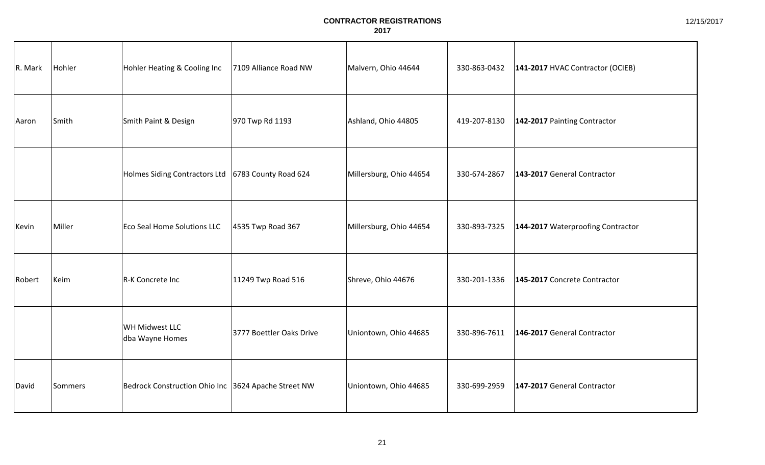| R. Mark | Hohler  | Hohler Heating & Cooling Inc                         | 7109 Alliance Road NW    | Malvern, Ohio 44644     | 330-863-0432 | 141-2017 HVAC Contractor (OCIEB)  |
|---------|---------|------------------------------------------------------|--------------------------|-------------------------|--------------|-----------------------------------|
| Aaron   | Smith   | Smith Paint & Design                                 | 970 Twp Rd 1193          | Ashland, Ohio 44805     | 419-207-8130 | 142-2017 Painting Contractor      |
|         |         | Holmes Siding Contractors Ltd   6783 County Road 624 |                          | Millersburg, Ohio 44654 | 330-674-2867 | 143-2017 General Contractor       |
| Kevin   | Miller  | Eco Seal Home Solutions LLC                          | 4535 Twp Road 367        | Millersburg, Ohio 44654 | 330-893-7325 | 144-2017 Waterproofing Contractor |
| Robert  | Keim    | R-K Concrete Inc                                     | 11249 Twp Road 516       | Shreve, Ohio 44676      | 330-201-1336 | 145-2017 Concrete Contractor      |
|         |         | WH Midwest LLC<br>dba Wayne Homes                    | 3777 Boettler Oaks Drive | Uniontown, Ohio 44685   | 330-896-7611 | 146-2017 General Contractor       |
| David   | Sommers | Bedrock Construction Ohio Inc 3624 Apache Street NW  |                          | Uniontown, Ohio 44685   | 330-699-2959 | 147-2017 General Contractor       |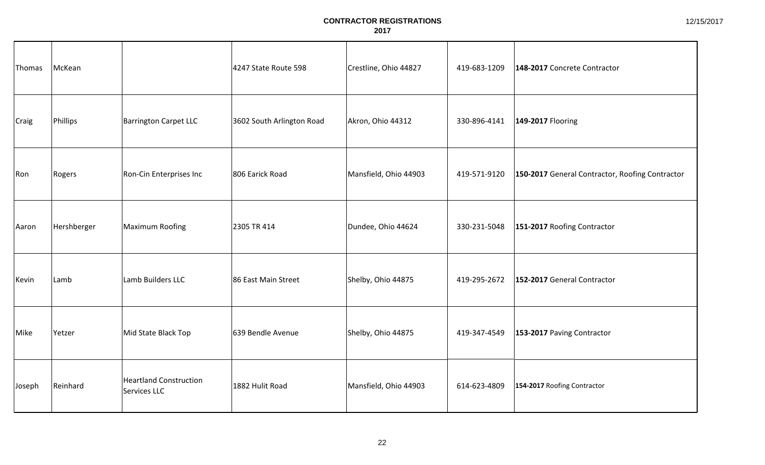| Thomas       | McKean      |                                               | 4247 State Route 598      | Crestline, Ohio 44827 | 419-683-1209 | 148-2017 Concrete Contractor                    |
|--------------|-------------|-----------------------------------------------|---------------------------|-----------------------|--------------|-------------------------------------------------|
| <b>Craig</b> | Phillips    | <b>Barrington Carpet LLC</b>                  | 3602 South Arlington Road | Akron, Ohio 44312     | 330-896-4141 | 149-2017 Flooring                               |
| Ron          | Rogers      | Ron-Cin Enterprises Inc                       | 806 Earick Road           | Mansfield, Ohio 44903 | 419-571-9120 | 150-2017 General Contractor, Roofing Contractor |
| Aaron        | Hershberger | Maximum Roofing                               | 2305 TR 414               | Dundee, Ohio 44624    | 330-231-5048 | 151-2017 Roofing Contractor                     |
| Kevin        | Lamb        | Lamb Builders LLC                             | 86 East Main Street       | Shelby, Ohio 44875    | 419-295-2672 | 152-2017 General Contractor                     |
| Mike         | Yetzer      | Mid State Black Top                           | 639 Bendle Avenue         | Shelby, Ohio 44875    | 419-347-4549 | 153-2017 Paving Contractor                      |
| Joseph       | Reinhard    | <b>Heartland Construction</b><br>Services LLC | 1882 Hulit Road           | Mansfield, Ohio 44903 | 614-623-4809 | 154-2017 Roofing Contractor                     |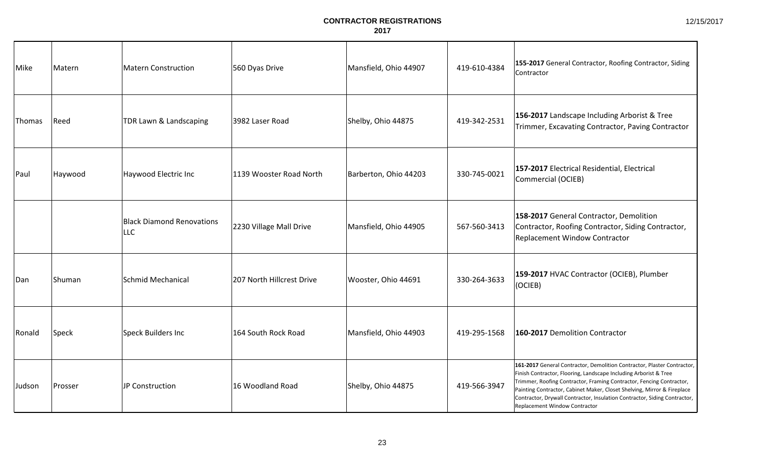| Mike   | Matern  | Matern Construction                     | 560 Dyas Drive            | Mansfield, Ohio 44907 | 419-610-4384 | 155-2017 General Contractor, Roofing Contractor, Siding<br>Contractor                                                                                                                                                                                                                                                                                                                                        |
|--------|---------|-----------------------------------------|---------------------------|-----------------------|--------------|--------------------------------------------------------------------------------------------------------------------------------------------------------------------------------------------------------------------------------------------------------------------------------------------------------------------------------------------------------------------------------------------------------------|
| Thomas | Reed    | TDR Lawn & Landscaping                  | 3982 Laser Road           | Shelby, Ohio 44875    | 419-342-2531 | 156-2017 Landscape Including Arborist & Tree<br>Trimmer, Excavating Contractor, Paving Contractor                                                                                                                                                                                                                                                                                                            |
| Paul   | Haywood | Haywood Electric Inc                    | 1139 Wooster Road North   | Barberton, Ohio 44203 | 330-745-0021 | 157-2017 Electrical Residential, Electrical<br>Commercial (OCIEB)                                                                                                                                                                                                                                                                                                                                            |
|        |         | <b>Black Diamond Renovations</b><br>LLC | 2230 Village Mall Drive   | Mansfield, Ohio 44905 | 567-560-3413 | 158-2017 General Contractor, Demolition<br>Contractor, Roofing Contractor, Siding Contractor,<br><b>Replacement Window Contractor</b>                                                                                                                                                                                                                                                                        |
| Dan    | Shuman  | Schmid Mechanical                       | 207 North Hillcrest Drive | Wooster, Ohio 44691   | 330-264-3633 | 159-2017 HVAC Contractor (OCIEB), Plumber<br>(OCIEB)                                                                                                                                                                                                                                                                                                                                                         |
| Ronald | Speck   | Speck Builders Inc                      | 164 South Rock Road       | Mansfield, Ohio 44903 | 419-295-1568 | 160-2017 Demolition Contractor                                                                                                                                                                                                                                                                                                                                                                               |
| Judson | Prosser | JP Construction                         | 16 Woodland Road          | Shelby, Ohio 44875    | 419-566-3947 | 161-2017 General Contractor, Demolition Contractor, Plaster Contractor,<br>Finish Contractor, Flooring, Landscape Including Arborist & Tree<br>Trimmer, Roofing Contractor, Framing Contractor, Fencing Contractor,<br>Painting Contractor, Cabinet Maker, Closet Shelving, Mirror & Fireplace<br>Contractor, Drywall Contractor, Insulation Contractor, Siding Contractor,<br>Replacement Window Contractor |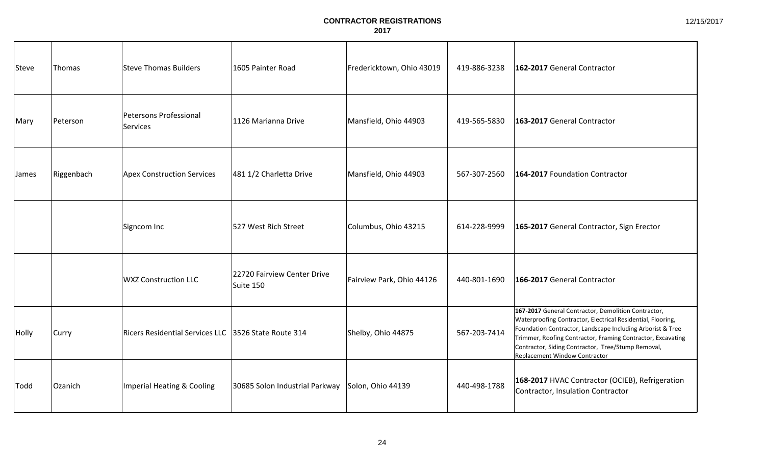| Steve | Thomas     | Steve Thomas Builders                                | 1605 Painter Road                        | Fredericktown, Ohio 43019 | 419-886-3238 | 162-2017 General Contractor                                                                                                                                                                                                                                                                                                            |
|-------|------------|------------------------------------------------------|------------------------------------------|---------------------------|--------------|----------------------------------------------------------------------------------------------------------------------------------------------------------------------------------------------------------------------------------------------------------------------------------------------------------------------------------------|
| Mary  | Peterson   | Petersons Professional<br>Services                   | 1126 Marianna Drive                      | Mansfield, Ohio 44903     | 419-565-5830 | 163-2017 General Contractor                                                                                                                                                                                                                                                                                                            |
| James | Riggenbach | <b>Apex Construction Services</b>                    | 481 1/2 Charletta Drive                  | Mansfield, Ohio 44903     | 567-307-2560 | 164-2017 Foundation Contractor                                                                                                                                                                                                                                                                                                         |
|       |            | Signcom Inc                                          | 527 West Rich Street                     | Columbus, Ohio 43215      | 614-228-9999 | 165-2017 General Contractor, Sign Erector                                                                                                                                                                                                                                                                                              |
|       |            | <b>WXZ Construction LLC</b>                          | 22720 Fairview Center Drive<br>Suite 150 | Fairview Park, Ohio 44126 | 440-801-1690 | 166-2017 General Contractor                                                                                                                                                                                                                                                                                                            |
| Holly | Curry      | Ricers Residential Services LLC 3526 State Route 314 |                                          | Shelby, Ohio 44875        | 567-203-7414 | 167-2017 General Contractor, Demolition Contractor,<br>Waterproofing Contractor, Electrical Residential, Flooring,<br>Foundation Contractor, Landscape Including Arborist & Tree<br>Trimmer, Roofing Contractor, Framing Contractor, Excavating<br>Contractor, Siding Contractor, Tree/Stump Removal,<br>Replacement Window Contractor |
| Todd  | Ozanich    | Imperial Heating & Cooling                           | 30685 Solon Industrial Parkway           | Solon, Ohio 44139         | 440-498-1788 | 168-2017 HVAC Contractor (OCIEB), Refrigeration<br>Contractor, Insulation Contractor                                                                                                                                                                                                                                                   |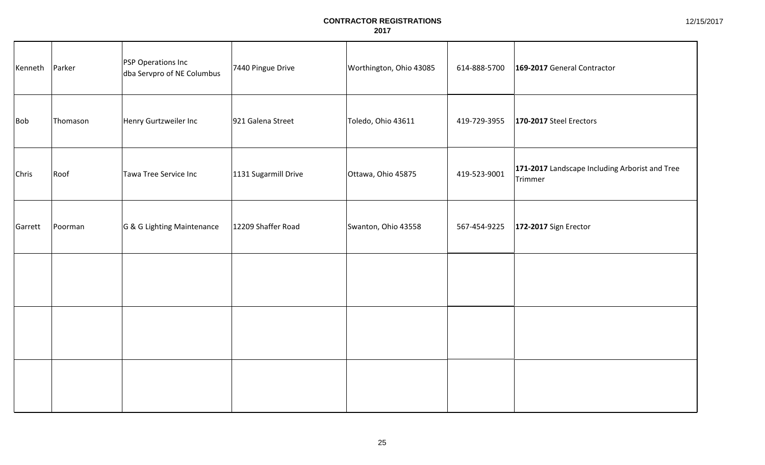| Kenneth      | Parker   | PSP Operations Inc<br>dba Servpro of NE Columbus | 7440 Pingue Drive    | Worthington, Ohio 43085 | 614-888-5700 | 169-2017 General Contractor                               |
|--------------|----------|--------------------------------------------------|----------------------|-------------------------|--------------|-----------------------------------------------------------|
| <b>Bob</b>   | Thomason | Henry Gurtzweiler Inc                            | 921 Galena Street    | Toledo, Ohio 43611      | 419-729-3955 | 170-2017 Steel Erectors                                   |
| <b>Chris</b> | Roof     | Tawa Tree Service Inc                            | 1131 Sugarmill Drive | Ottawa, Ohio 45875      | 419-523-9001 | 171-2017 Landscape Including Arborist and Tree<br>Trimmer |
| Garrett      | Poorman  | G & G Lighting Maintenance                       | 12209 Shaffer Road   | Swanton, Ohio 43558     | 567-454-9225 | 172-2017 Sign Erector                                     |
|              |          |                                                  |                      |                         |              |                                                           |
|              |          |                                                  |                      |                         |              |                                                           |
|              |          |                                                  |                      |                         |              |                                                           |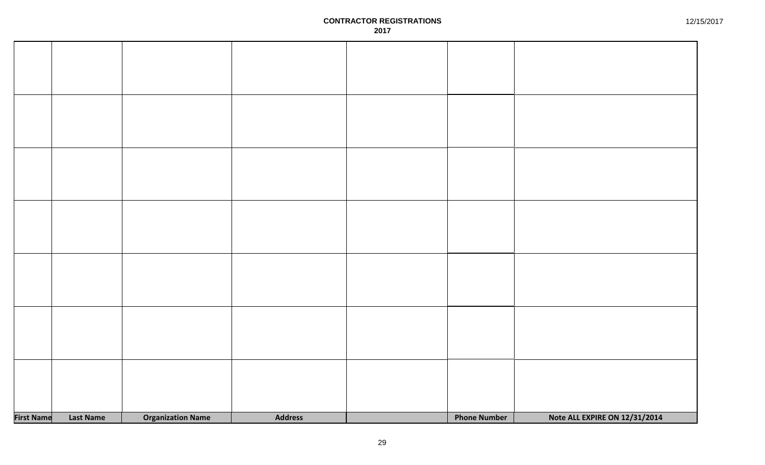| <b>First Name</b> | Last Name | <b>Organization Name</b> | <b>Address</b> | <b>Phone Number</b> | Note ALL EXPIRE ON 12/31/2014 |
|-------------------|-----------|--------------------------|----------------|---------------------|-------------------------------|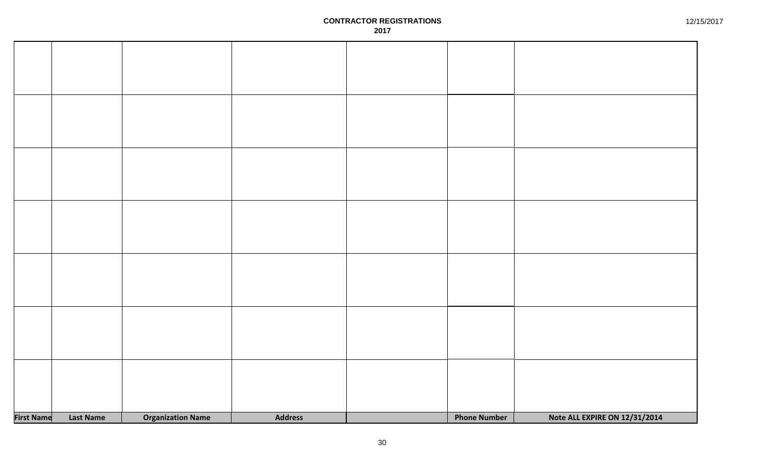| <b>First Name</b> | Last Name | <b>Organization Name</b> | <b>Address</b> | <b>Phone Number</b> | Note ALL EXPIRE ON 12/31/2014 |
|-------------------|-----------|--------------------------|----------------|---------------------|-------------------------------|